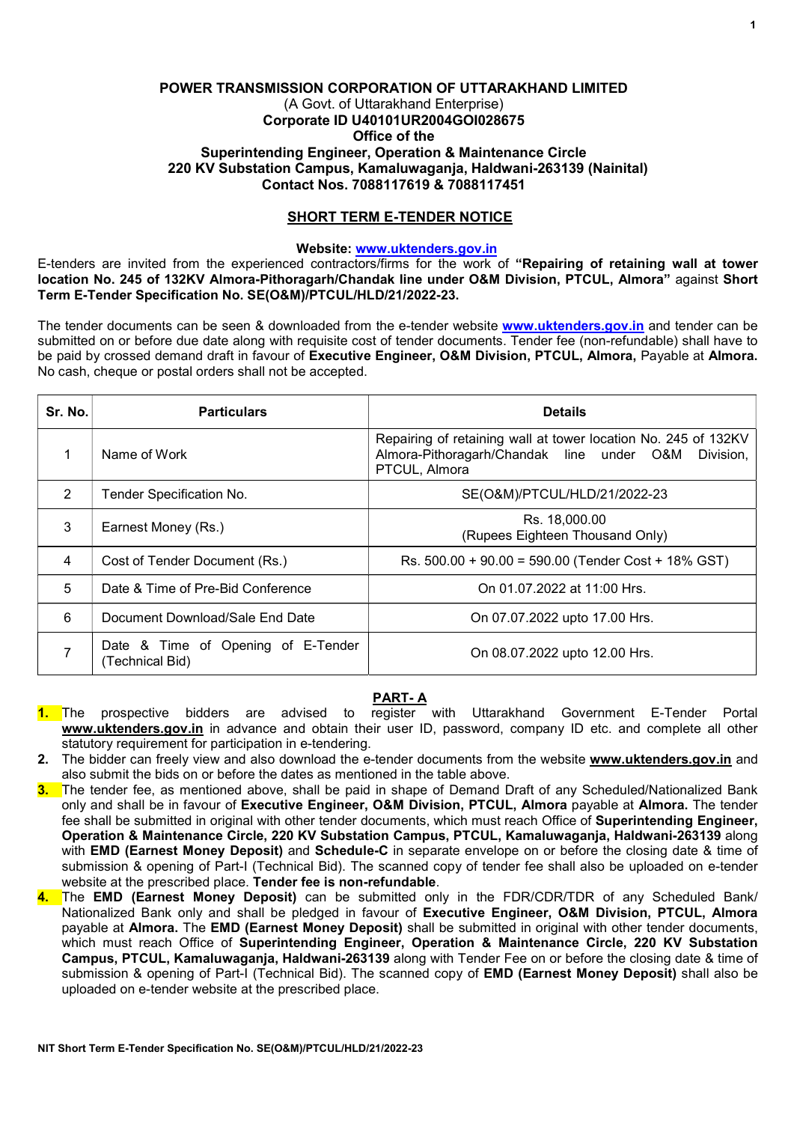# POWER TRANSMISSION CORPORATION OF UTTARAKHAND LIMITED (A Govt. of Uttarakhand Enterprise) Corporate ID U40101UR2004GOI028675 Office of the Superintending Engineer, Operation & Maintenance Circle 220 KV Substation Campus, Kamaluwaganja, Haldwani-263139 (Nainital) Contact Nos. 7088117619 & 7088117451

# SHORT TERM E-TENDER NOTICE

## Website: www.uktenders.gov.in

E-tenders are invited from the experienced contractors/firms for the work of "Repairing of retaining wall at tower location No. 245 of 132KV Almora-Pithoragarh/Chandak line under O&M Division, PTCUL, Almora" against Short Term E-Tender Specification No. SE(O&M)/PTCUL/HLD/21/2022-23.

The tender documents can be seen & downloaded from the e-tender website www.uktenders.gov.in and tender can be submitted on or before due date along with requisite cost of tender documents. Tender fee (non-refundable) shall have to be paid by crossed demand draft in favour of Executive Engineer, O&M Division, PTCUL, Almora, Payable at Almora. No cash, cheque or postal orders shall not be accepted.

| Sr. No. | <b>Particulars</b>                                    | <b>Details</b>                                                                                                                            |
|---------|-------------------------------------------------------|-------------------------------------------------------------------------------------------------------------------------------------------|
|         | Name of Work                                          | Repairing of retaining wall at tower location No. 245 of 132KV<br>Almora-Pithoragarh/Chandak line under O&M<br>Division.<br>PTCUL, Almora |
| 2       | Tender Specification No.                              | SE(O&M)/PTCUL/HLD/21/2022-23                                                                                                              |
| 3       | Earnest Money (Rs.)                                   | Rs. 18,000.00<br>(Rupees Eighteen Thousand Only)                                                                                          |
| 4       | Cost of Tender Document (Rs.)                         | Rs. 500.00 + 90.00 = 590.00 (Tender Cost + 18% GST)                                                                                       |
| 5       | Date & Time of Pre-Bid Conference                     | On 01.07.2022 at 11:00 Hrs.                                                                                                               |
| 6       | Document Download/Sale End Date                       | On 07.07.2022 upto 17.00 Hrs.                                                                                                             |
|         | Date & Time of Opening of E-Tender<br>(Technical Bid) | On 08.07.2022 upto 12.00 Hrs.                                                                                                             |

# PART- A

- 1. The prospective bidders are advised to register with Uttarakhand Government E-Tender Portal www.uktenders.gov.in in advance and obtain their user ID, password, company ID etc. and complete all other statutory requirement for participation in e-tendering.
- 2. The bidder can freely view and also download the e-tender documents from the website www.uktenders.gov.in and also submit the bids on or before the dates as mentioned in the table above.
- 3. The tender fee, as mentioned above, shall be paid in shape of Demand Draft of any Scheduled/Nationalized Bank only and shall be in favour of Executive Engineer, O&M Division, PTCUL, Almora payable at Almora. The tender fee shall be submitted in original with other tender documents, which must reach Office of Superintending Engineer, Operation & Maintenance Circle, 220 KV Substation Campus, PTCUL, Kamaluwaganja, Haldwani-263139 along with **EMD** (Earnest Money Deposit) and Schedule-C in separate envelope on or before the closing date & time of submission & opening of Part-I (Technical Bid). The scanned copy of tender fee shall also be uploaded on e-tender website at the prescribed place. Tender fee is non-refundable.
- 4. The EMD (Earnest Money Deposit) can be submitted only in the FDR/CDR/TDR of any Scheduled Bank/ Nationalized Bank only and shall be pledged in favour of Executive Engineer, O&M Division, PTCUL, Almora payable at Almora. The EMD (Earnest Money Deposit) shall be submitted in original with other tender documents, which must reach Office of Superintending Engineer, Operation & Maintenance Circle, 220 KV Substation Campus, PTCUL, Kamaluwaganja, Haldwani-263139 along with Tender Fee on or before the closing date & time of submission & opening of Part-I (Technical Bid). The scanned copy of **EMD (Earnest Money Deposit)** shall also be uploaded on e-tender website at the prescribed place.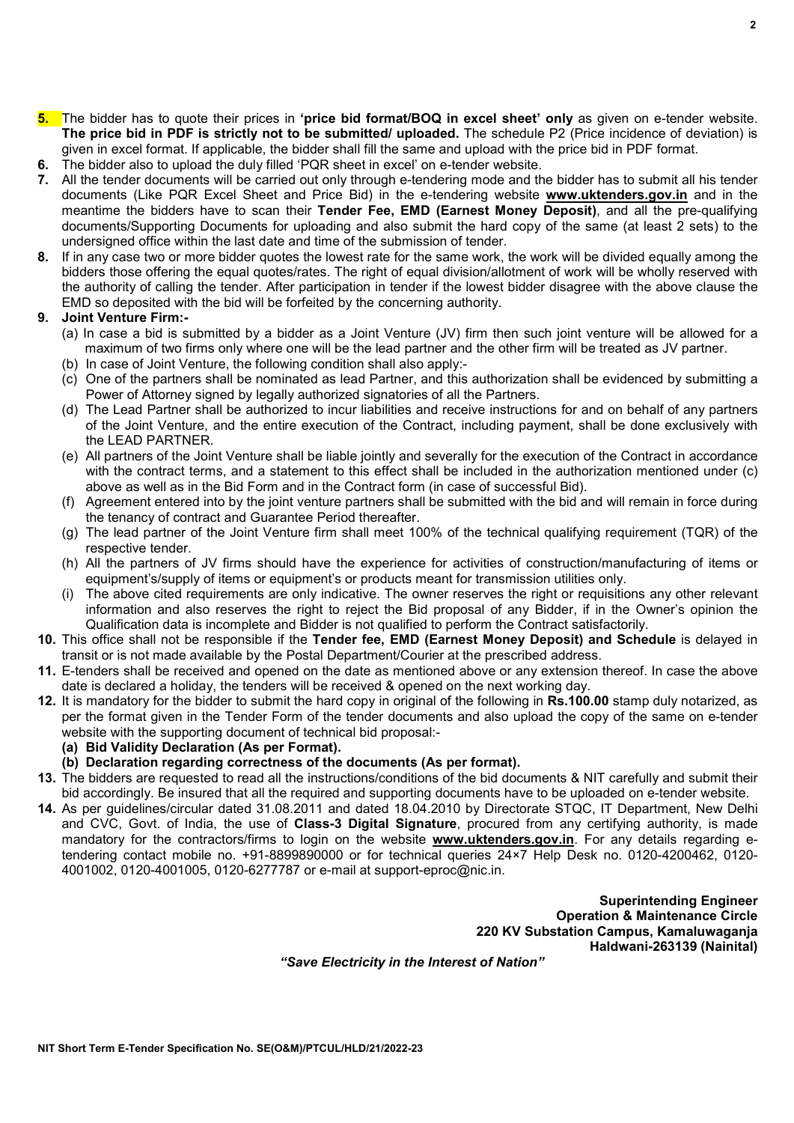$\overline{2}$ 

- (b) In case of Joint Venture, the following condition shall also apply:-
	- (c) One of the partners shall be nominated as lead Partner, and this authorization shall be evidenced by submitting a Power of Attorney signed by legally authorized signatories of all the Partners.

(a) In case a bid is submitted by a bidder as a Joint Venture (JV) firm then such joint venture will be allowed for a maximum of two firms only where one will be the lead partner and the other firm will be treated as JV partner.

5. The bidder has to quote their prices in 'price bid format/BOQ in excel sheet' only as given on e-tender website. The price bid in PDF is strictly not to be submitted/ uploaded. The schedule P2 (Price incidence of deviation) is

7. All the tender documents will be carried out only through e-tendering mode and the bidder has to submit all his tender documents (Like PQR Excel Sheet and Price Bid) in the e-tendering website **www.uktenders.gov.in** and in the meantime the bidders have to scan their Tender Fee, EMD (Earnest Money Deposit), and all the pre-qualifying documents/Supporting Documents for uploading and also submit the hard copy of the same (at least 2 sets) to the

8. If in any case two or more bidder quotes the lowest rate for the same work, the work will be divided equally among the bidders those offering the equal quotes/rates. The right of equal division/allotment of work will be wholly reserved with the authority of calling the tender. After participation in tender if the lowest bidder disagree with the above clause the

given in excel format. If applicable, the bidder shall fill the same and upload with the price bid in PDF format.

6. The bidder also to upload the duly filled 'PQR sheet in excel' on e-tender website.

undersigned office within the last date and time of the submission of tender.

EMD so deposited with the bid will be forfeited by the concerning authority.

9. Joint Venture Firm:-

- (d) The Lead Partner shall be authorized to incur liabilities and receive instructions for and on behalf of any partners of the Joint Venture, and the entire execution of the Contract, including payment, shall be done exclusively with the LEAD PARTNER.
- (e) All partners of the Joint Venture shall be liable jointly and severally for the execution of the Contract in accordance with the contract terms, and a statement to this effect shall be included in the authorization mentioned under (c) above as well as in the Bid Form and in the Contract form (in case of successful Bid).
- (f) Agreement entered into by the joint venture partners shall be submitted with the bid and will remain in force during the tenancy of contract and Guarantee Period thereafter.
- (g) The lead partner of the Joint Venture firm shall meet 100% of the technical qualifying requirement (TQR) of the respective tender.
- (h) All the partners of JV firms should have the experience for activities of construction/manufacturing of items or equipment's/supply of items or equipment's or products meant for transmission utilities only.
- (i) The above cited requirements are only indicative. The owner reserves the right or requisitions any other relevant information and also reserves the right to reject the Bid proposal of any Bidder, if in the Owner's opinion the Qualification data is incomplete and Bidder is not qualified to perform the Contract satisfactorily.
- 10. This office shall not be responsible if the Tender fee, EMD (Earnest Money Deposit) and Schedule is delayed in transit or is not made available by the Postal Department/Courier at the prescribed address.
- 11. E-tenders shall be received and opened on the date as mentioned above or any extension thereof. In case the above date is declared a holiday, the tenders will be received & opened on the next working day.
- 12. It is mandatory for the bidder to submit the hard copy in original of the following in Rs.100.00 stamp duly notarized, as per the format given in the Tender Form of the tender documents and also upload the copy of the same on e-tender website with the supporting document of technical bid proposal:-
	- (a) Bid Validity Declaration (As per Format).
	- (b) Declaration regarding correctness of the documents (As per format).
- 13. The bidders are requested to read all the instructions/conditions of the bid documents & NIT carefully and submit their bid accordingly. Be insured that all the required and supporting documents have to be uploaded on e-tender website.
- 14. As per guidelines/circular dated 31.08.2011 and dated 18.04.2010 by Directorate STQC, IT Department, New Delhi and CVC, Govt. of India, the use of Class-3 Digital Signature, procured from any certifying authority, is made mandatory for the contractors/firms to login on the website www.uktenders.gov.in. For any details regarding etendering contact mobile no. +91-8899890000 or for technical queries 24×7 Help Desk no. 0120-4200462, 0120- 4001002, 0120-4001005, 0120-6277787 or e-mail at support-eproc@nic.in.

Superintending Engineer Operation & Maintenance Circle 220 KV Substation Campus, Kamaluwaganja Haldwani-263139 (Nainital)

"Save Electricity in the Interest of Nation"